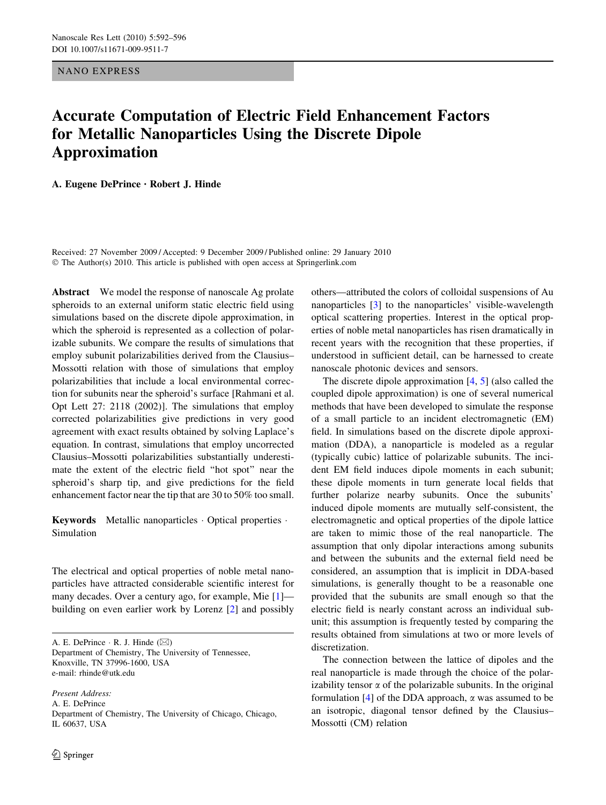<span id="page-0-0"></span>NANO EXPRESS

## Accurate Computation of Electric Field Enhancement Factors for Metallic Nanoparticles Using the Discrete Dipole Approximation

A. Eugene DePrince *•* Robert J. Hinde

Received: 27 November 2009 / Accepted: 9 December 2009 / Published online: 29 January 2010  $\odot$  The Author(s) 2010. This article is published with open access at Springerlink.com

Abstract We model the response of nanoscale Ag prolate spheroids to an external uniform static electric field using simulations based on the discrete dipole approximation, in which the spheroid is represented as a collection of polarizable subunits. We compare the results of simulations that employ subunit polarizabilities derived from the Clausius– Mossotti relation with those of simulations that employ polarizabilities that include a local environmental correction for subunits near the spheroid's surface [Rahmani et al. Opt Lett 27: 2118 (2002)]. The simulations that employ corrected polarizabilities give predictions in very good agreement with exact results obtained by solving Laplace's equation. In contrast, simulations that employ uncorrected Clausius–Mossotti polarizabilities substantially underestimate the extent of the electric field ''hot spot'' near the spheroid's sharp tip, and give predictions for the field enhancement factor near the tip that are 30 to 50% too small.

Keywords Metallic nanoparticles  $\cdot$  Optical properties  $\cdot$ Simulation

The electrical and optical properties of noble metal nanoparticles have attracted considerable scientific interest for many decades. Over a century ago, for example, Mie [[1\]](#page-4-0) building on even earlier work by Lorenz [\[2\]](#page-4-0) and possibly

A. E. DePrince  $\cdot$  R. J. Hinde ( $\boxtimes$ ) Department of Chemistry, The University of Tennessee, Knoxville, TN 37996-1600, USA e-mail: rhinde@utk.edu

Present Address: A. E. DePrince Department of Chemistry, The University of Chicago, Chicago, IL 60637, USA

others—attributed the colors of colloidal suspensions of Au nanoparticles [[3\]](#page-4-0) to the nanoparticles' visible-wavelength optical scattering properties. Interest in the optical properties of noble metal nanoparticles has risen dramatically in recent years with the recognition that these properties, if understood in sufficient detail, can be harnessed to create nanoscale photonic devices and sensors.

The discrete dipole approximation  $[4, 5]$  $[4, 5]$  $[4, 5]$  $[4, 5]$  $[4, 5]$  (also called the coupled dipole approximation) is one of several numerical methods that have been developed to simulate the response of a small particle to an incident electromagnetic (EM) field. In simulations based on the discrete dipole approximation (DDA), a nanoparticle is modeled as a regular (typically cubic) lattice of polarizable subunits. The incident EM field induces dipole moments in each subunit; these dipole moments in turn generate local fields that further polarize nearby subunits. Once the subunits' induced dipole moments are mutually self-consistent, the electromagnetic and optical properties of the dipole lattice are taken to mimic those of the real nanoparticle. The assumption that only dipolar interactions among subunits and between the subunits and the external field need be considered, an assumption that is implicit in DDA-based simulations, is generally thought to be a reasonable one provided that the subunits are small enough so that the electric field is nearly constant across an individual subunit; this assumption is frequently tested by comparing the results obtained from simulations at two or more levels of discretization.

The connection between the lattice of dipoles and the real nanoparticle is made through the choice of the polarizability tensor  $\alpha$  of the polarizable subunits. In the original formulation  $[4]$  $[4]$  of the DDA approach,  $\alpha$  was assumed to be an isotropic, diagonal tensor defined by the Clausius– Mossotti (CM) relation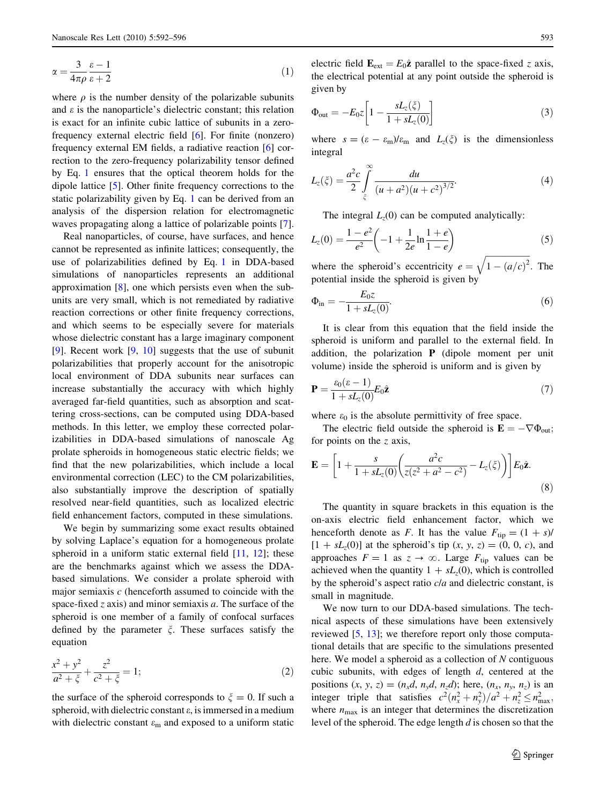<span id="page-1-0"></span>
$$
\alpha = \frac{3}{4\pi\rho} \frac{\varepsilon - 1}{\varepsilon + 2} \tag{1}
$$

where  $\rho$  is the number density of the polarizable subunits and  $\varepsilon$  is the nanoparticle's dielectric constant; this relation is exact for an infinite cubic lattice of subunits in a zerofrequency external electric field [[6\]](#page-4-0). For finite (nonzero) frequency external EM fields, a radiative reaction [\[6](#page-4-0)] correction to the zero-frequency polarizability tensor defined by Eq. [1](#page-0-0) ensures that the optical theorem holds for the dipole lattice [[5\]](#page-4-0). Other finite frequency corrections to the static polarizability given by Eq. [1](#page-0-0) can be derived from an analysis of the dispersion relation for electromagnetic waves propagating along a lattice of polarizable points [\[7](#page-4-0)].

Real nanoparticles, of course, have surfaces, and hence cannot be represented as infinite lattices; consequently, the use of polarizabilities defined by Eq. [1](#page-0-0) in DDA-based simulations of nanoparticles represents an additional approximation [\[8](#page-4-0)], one which persists even when the subunits are very small, which is not remediated by radiative reaction corrections or other finite frequency corrections, and which seems to be especially severe for materials whose dielectric constant has a large imaginary component [\[9](#page-4-0)]. Recent work [[9,](#page-4-0) [10](#page-4-0)] suggests that the use of subunit polarizabilities that properly account for the anisotropic local environment of DDA subunits near surfaces can increase substantially the accuracy with which highly averaged far-field quantities, such as absorption and scattering cross-sections, can be computed using DDA-based methods. In this letter, we employ these corrected polarizabilities in DDA-based simulations of nanoscale Ag prolate spheroids in homogeneous static electric fields; we find that the new polarizabilities, which include a local environmental correction (LEC) to the CM polarizabilities, also substantially improve the description of spatially resolved near-field quantities, such as localized electric field enhancement factors, computed in these simulations.

We begin by summarizing some exact results obtained by solving Laplace's equation for a homogeneous prolate spheroid in a uniform static external field  $[11, 12]$  $[11, 12]$  $[11, 12]$  $[11, 12]$ ; these are the benchmarks against which we assess the DDAbased simulations. We consider a prolate spheroid with major semiaxis  $c$  (henceforth assumed to coincide with the space-fixed  $z$  axis) and minor semiaxis  $a$ . The surface of the spheroid is one member of a family of confocal surfaces defined by the parameter  $\xi$ . These surfaces satisfy the equation

$$
\frac{x^2 + y^2}{a^2 + \xi} + \frac{z^2}{c^2 + \xi} = 1;
$$
 (2)

the surface of the spheroid corresponds to  $\xi = 0$ . If such a spheroid, with dielectric constant  $\varepsilon$ , is immersed in a medium with dielectric constant  $\varepsilon_m$  and exposed to a uniform static electric field  $\mathbf{E}_{ext} = E_0 \hat{\mathbf{z}}$  parallel to the space-fixed z axis, the electrical potential at any point outside the spheroid is given by

$$
\Phi_{\text{out}} = -E_0 z \left[ 1 - \frac{s L_z(\xi)}{1 + s L_z(0)} \right] \tag{3}
$$

where  $s = (\varepsilon - \varepsilon_m)/\varepsilon_m$  and  $L_z(\xi)$  is the dimensionless integral

$$
L_z(\xi) = \frac{a^2c}{2} \int_{\xi}^{\infty} \frac{du}{(u+a^2)(u+c^2)^{3/2}}.
$$
 (4)

The integral  $L_z(0)$  can be computed analytically:

$$
L_z(0) = \frac{1 - e^2}{e^2} \left( -1 + \frac{1}{2e} \ln \frac{1 + e}{1 - e} \right)
$$
 (5)

where the spheroid's eccentricity  $e =$  $\sqrt{1 - (a/c)^2}$ : The potential inside the spheroid is given by

$$
\Phi_{\rm in} = -\frac{E_0 z}{1 + sL_z(0)}.\tag{6}
$$

It is clear from this equation that the field inside the spheroid is uniform and parallel to the external field. In addition, the polarization  $P$  (dipole moment per unit volume) inside the spheroid is uniform and is given by

$$
\mathbf{P} = \frac{\varepsilon_0(\varepsilon - 1)}{1 + sL_z(0)} E_0 \hat{\mathbf{z}} \tag{7}
$$

where  $\varepsilon_0$  is the absolute permittivity of free space.

The electric field outside the spheroid is  $\mathbf{E} = -\nabla \Phi_{\text{out}};$ for points on the  $z$  axis,

$$
\mathbf{E} = \left[1 + \frac{s}{1 + sL_z(0)} \left(\frac{a^2c}{z(z^2 + a^2 - c^2)} - L_z(\zeta)\right)\right] E_0 \hat{\mathbf{z}}.
$$
\n(8)

The quantity in square brackets in this equation is the on-axis electric field enhancement factor, which we henceforth denote as F. It has the value  $F_{\text{tip}} = (1 + s)$ /  $[1 + sL_z(0)]$  at the spheroid's tip  $(x, y, z) = (0, 0, c)$ , and approaches  $F = 1$  as  $z \rightarrow \infty$ . Large  $F_{\text{tip}}$  values can be achieved when the quantity  $1 + sL_z(0)$ , which is controlled by the spheroid's aspect ratio c/a and dielectric constant, is small in magnitude.

We now turn to our DDA-based simulations. The technical aspects of these simulations have been extensively reviewed [\[5](#page-4-0), [13](#page-4-0)]; we therefore report only those computational details that are specific to the simulations presented here. We model a spheroid as a collection of  $N$  contiguous cubic subunits, with edges of length d, centered at the positions  $(x, y, z) = (n_x d, n_y d, n_z d)$ ; here,  $(n_x, n_y, n_z)$  is an integer triple that satisfies  $c^2(n_x^2 + n_y^2)/a^2 + n_z^2 \le n_{\text{max}}^2$ , where  $n_{\text{max}}$  is an integer that determines the discretization level of the spheroid. The edge length d is chosen so that the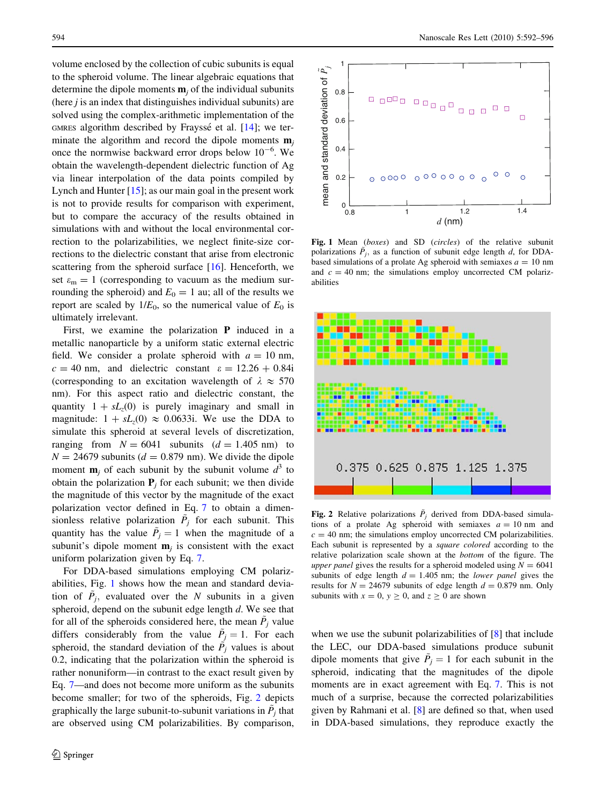<span id="page-2-0"></span>volume enclosed by the collection of cubic subunits is equal to the spheroid volume. The linear algebraic equations that determine the dipole moments  $\mathbf{m}_i$  of the individual subunits (here  $i$  is an index that distinguishes individual subunits) are solved using the complex-arithmetic implementation of the GMRES algorithm described by Frayssé et al.  $[14]$  $[14]$ ; we terminate the algorithm and record the dipole moments  $\mathbf{m}_i$ once the normwise backward error drops below  $10^{-6}$ . We obtain the wavelength-dependent dielectric function of Ag via linear interpolation of the data points compiled by Lynch and Hunter  $[15]$  $[15]$ ; as our main goal in the present work is not to provide results for comparison with experiment, but to compare the accuracy of the results obtained in simulations with and without the local environmental correction to the polarizabilities, we neglect finite-size corrections to the dielectric constant that arise from electronic scattering from the spheroid surface [[16\]](#page-4-0). Henceforth, we set  $\varepsilon_m = 1$  (corresponding to vacuum as the medium surrounding the spheroid) and  $E_0 = 1$  au; all of the results we report are scaled by  $1/E_0$ , so the numerical value of  $E_0$  is ultimately irrelevant.

First, we examine the polarization **P** induced in a metallic nanoparticle by a uniform static external electric field. We consider a prolate spheroid with  $a = 10$  nm,  $c = 40$  nm, and dielectric constant  $\varepsilon = 12.26 + 0.84i$ (corresponding to an excitation wavelength of  $\lambda \approx 570$ nm). For this aspect ratio and dielectric constant, the quantity  $1 + sL_z(0)$  is purely imaginary and small in magnitude:  $1 + sL_z(0) \approx 0.0633i$ . We use the DDA to simulate this spheroid at several levels of discretization, ranging from  $N = 6041$  subunits  $(d = 1.405$  nm) to  $N = 24679$  subunits ( $d = 0.879$  nm). We divide the dipole moment  $\mathbf{m}_i$  of each subunit by the subunit volume  $d^3$  to obtain the polarization  $P_i$  for each subunit; we then divide the magnitude of this vector by the magnitude of the exact polarization vector defined in Eq. [7](#page-1-0) to obtain a dimensionless relative polarization  $\tilde{P}_j$  for each subunit. This quantity has the value  $\tilde{P}_j = 1$  when the magnitude of a subunit's dipole moment  $\mathbf{m}_i$  is consistent with the exact uniform polarization given by Eq. [7.](#page-1-0)

For DDA-based simulations employing CM polarizabilities, Fig. 1 shows how the mean and standard deviation of  $\tilde{P}_i$ , evaluated over the N subunits in a given spheroid, depend on the subunit edge length  $d$ . We see that for all of the spheroids considered here, the mean  $P_j$  value differs considerably from the value  $\ddot{P}_j = 1$ . For each spheroid, the standard deviation of the  $\tilde{P}_j$  values is about 0.2, indicating that the polarization within the spheroid is rather nonuniform—in contrast to the exact result given by Eq. [7—](#page-1-0)and does not become more uniform as the subunits become smaller; for two of the spheroids, Fig. 2 depicts graphically the large subunit-to-subunit variations in  $\ddot{P}_i$  that are observed using CM polarizabilities. By comparison,



Fig. 1 Mean (boxes) and SD (circles) of the relative subunit polarizations  $\tilde{P}_j$ , as a function of subunit edge length d, for DDAbased simulations of a prolate Ag spheroid with semiaxes  $a = 10$  nm and  $c = 40$  nm; the simulations employ uncorrected CM polarizabilities



Fig. 2 Relative polarizations  $\tilde{P}_i$  derived from DDA-based simulations of a prolate Ag spheroid with semiaxes  $a = 10$  nm and  $c = 40$  nm; the simulations employ uncorrected CM polarizabilities. Each subunit is represented by a square colored according to the relative polarization scale shown at the bottom of the figure. The upper panel gives the results for a spheroid modeled using  $N = 6041$ subunits of edge length  $d = 1.405$  nm; the *lower panel* gives the results for  $N = 24679$  subunits of edge length  $d = 0.879$  nm. Only subunits with  $x = 0$ ,  $y \ge 0$ , and  $z \ge 0$  are shown

when we use the subunit polarizabilities of  $[8]$  $[8]$  that include the LEC, our DDA-based simulations produce subunit dipole moments that give  $\tilde{P}_j = 1$  for each subunit in the spheroid, indicating that the magnitudes of the dipole moments are in exact agreement with Eq. [7.](#page-1-0) This is not much of a surprise, because the corrected polarizabilities given by Rahmani et al. [[8\]](#page-4-0) are defined so that, when used in DDA-based simulations, they reproduce exactly the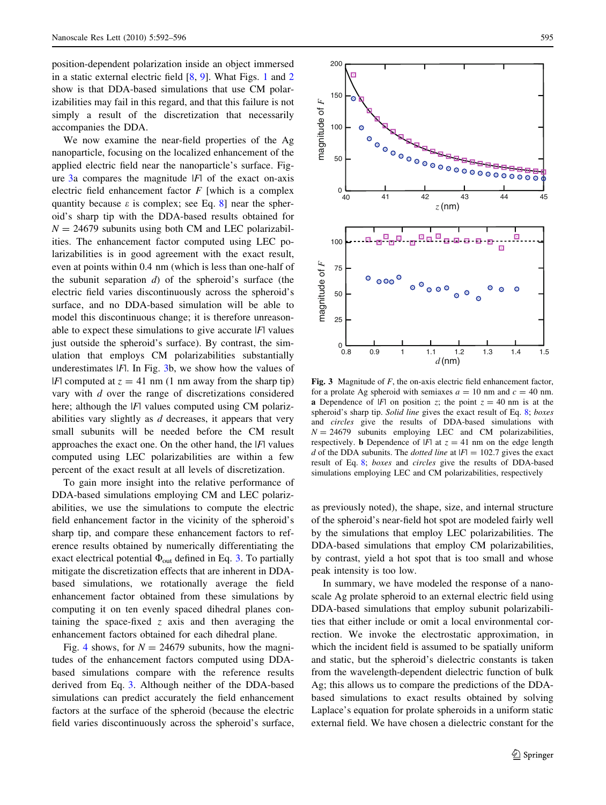position-dependent polarization inside an object immersed in a static external electric field [\[8](#page-4-0), [9\]](#page-4-0). What Figs. [1](#page-2-0) and [2](#page-2-0) show is that DDA-based simulations that use CM polarizabilities may fail in this regard, and that this failure is not simply a result of the discretization that necessarily accompanies the DDA.

We now examine the near-field properties of the Ag nanoparticle, focusing on the localized enhancement of the applied electric field near the nanoparticle's surface. Figure  $3a$  compares the magnitude  $|F|$  of the exact on-axis electric field enhancement factor  $F$  [which is a complex quantity because  $\varepsilon$  is complex; see Eq. [8](#page-1-0)] near the spheroid's sharp tip with the DDA-based results obtained for  $N = 24679$  subunits using both CM and LEC polarizabilities. The enhancement factor computed using LEC polarizabilities is in good agreement with the exact result, even at points within 0.4 nm (which is less than one-half of the subunit separation  $d$ ) of the spheroid's surface (the electric field varies discontinuously across the spheroid's surface, and no DDA-based simulation will be able to model this discontinuous change; it is therefore unreasonable to expect these simulations to give accurate  $|F|$  values just outside the spheroid's surface). By contrast, the simulation that employs CM polarizabilities substantially underestimates  $|F|$ . In Fig. 3b, we show how the values of |F| computed at  $z = 41$  nm (1 nm away from the sharp tip) vary with d over the range of discretizations considered here; although the  $|F|$  values computed using CM polarizabilities vary slightly as  $d$  decreases, it appears that very small subunits will be needed before the CM result approaches the exact one. On the other hand, the  $|F|$  values computed using LEC polarizabilities are within a few percent of the exact result at all levels of discretization.

To gain more insight into the relative performance of DDA-based simulations employing CM and LEC polarizabilities, we use the simulations to compute the electric field enhancement factor in the vicinity of the spheroid's sharp tip, and compare these enhancement factors to reference results obtained by numerically differentiating the exact electrical potential  $\Phi_{\text{out}}$  defined in Eq. [3.](#page-1-0) To partially mitigate the discretization effects that are inherent in DDAbased simulations, we rotationally average the field enhancement factor obtained from these simulations by computing it on ten evenly spaced dihedral planes containing the space-fixed  $z$  axis and then averaging the enhancement factors obtained for each dihedral plane.

Fig. [4](#page-4-0) shows, for  $N = 24679$  subunits, how the magnitudes of the enhancement factors computed using DDAbased simulations compare with the reference results derived from Eq. [3](#page-1-0). Although neither of the DDA-based simulations can predict accurately the field enhancement factors at the surface of the spheroid (because the electric field varies discontinuously across the spheroid's surface,



Fig. 3 Magnitude of F, the on-axis electric field enhancement factor, for a prolate Ag spheroid with semiaxes  $a = 10$  nm and  $c = 40$  nm. a Dependence of |F| on position z; the point  $z = 40$  nm is at the spheroid's sharp tip. Solid line gives the exact result of Eq. [8;](#page-1-0) boxes and circles give the results of DDA-based simulations with  $N = 24679$  subunits employing LEC and CM polarizabilities, respectively. **b** Dependence of |F| at  $z = 41$  nm on the edge length d of the DDA subunits. The dotted line at  $|F| = 102.7$  gives the exact result of Eq. [8](#page-1-0); boxes and circles give the results of DDA-based simulations employing LEC and CM polarizabilities, respectively

as previously noted), the shape, size, and internal structure of the spheroid's near-field hot spot are modeled fairly well by the simulations that employ LEC polarizabilities. The DDA-based simulations that employ CM polarizabilities, by contrast, yield a hot spot that is too small and whose peak intensity is too low.

In summary, we have modeled the response of a nanoscale Ag prolate spheroid to an external electric field using DDA-based simulations that employ subunit polarizabilities that either include or omit a local environmental correction. We invoke the electrostatic approximation, in which the incident field is assumed to be spatially uniform and static, but the spheroid's dielectric constants is taken from the wavelength-dependent dielectric function of bulk Ag; this allows us to compare the predictions of the DDAbased simulations to exact results obtained by solving Laplace's equation for prolate spheroids in a uniform static external field. We have chosen a dielectric constant for the